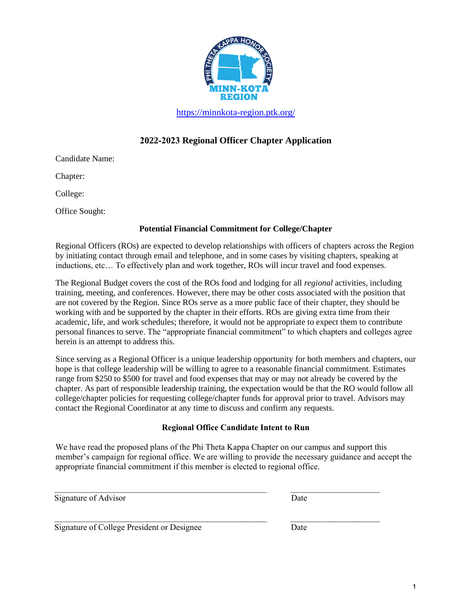

<https://minnkota-region.ptk.org/>

## **2022-2023 Regional Officer Chapter Application**

Candidate Name:

Chapter:

College:

Office Sought:

### **Potential Financial Commitment for College/Chapter**

Regional Officers (ROs) are expected to develop relationships with officers of chapters across the Region by initiating contact through email and telephone, and in some cases by visiting chapters, speaking at inductions, etc… To effectively plan and work together, ROs will incur travel and food expenses.

The Regional Budget covers the cost of the ROs food and lodging for all *regional* activities, including training, meeting, and conferences. However, there may be other costs associated with the position that are not covered by the Region. Since ROs serve as a more public face of their chapter*,* they should be working with and be supported by the chapter in their efforts. ROs are giving extra time from their academic, life, and work schedules; therefore, it would not be appropriate to expect them to contribute personal finances to serve. The "appropriate financial commitment" to which chapters and colleges agree herein is an attempt to address this.

Since serving as a Regional Officer is a unique leadership opportunity for both members and chapters, our hope is that college leadership will be willing to agree to a reasonable financial commitment. Estimates range from \$250 to \$500 for travel and food expenses that may or may not already be covered by the chapter. As part of responsible leadership training, the expectation would be that the RO would follow all college/chapter policies for requesting college/chapter funds for approval prior to travel. Advisors may contact the Regional Coordinator at any time to discuss and confirm any requests.

### **Regional Office Candidate Intent to Run**

We have read the proposed plans of the Phi Theta Kappa Chapter on our campus and support this member's campaign for regional office. We are willing to provide the necessary guidance and accept the appropriate financial commitment if this member is elected to regional office.

 $\_$  , and the set of the set of the set of the set of the set of the set of the set of the set of the set of the set of the set of the set of the set of the set of the set of the set of the set of the set of the set of th

 $\_$  , and the contribution of the contribution of  $\mathcal{L}_\mathcal{A}$  , and the contribution of  $\mathcal{L}_\mathcal{A}$ 

| Signature of Advisor | Date |
|----------------------|------|
|----------------------|------|

Signature of College President or Designee Date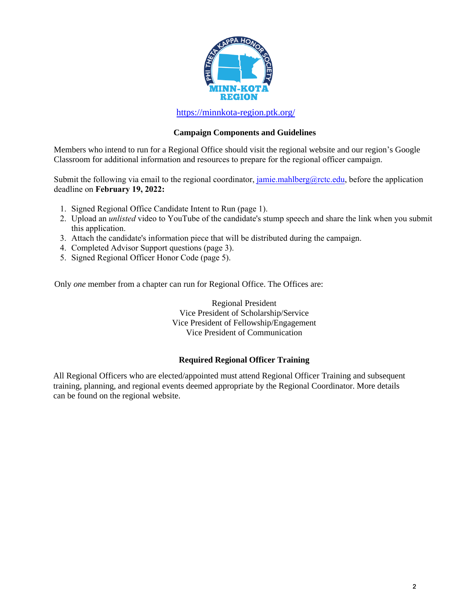

<https://minnkota-region.ptk.org/>

#### **Campaign Components and Guidelines**

Members who intend to run for a Regional Office should visit the regional website and our region's Google Classroom for additional information and resources to prepare for the regional officer campaign.

Submit the following via email to the regional coordinator, jamie.mahlberg@rctc.edu, before the application deadline on **February 2, 2022:**

- 1. Signed Regional Office Candidate Intent to Run (page 1).
- 2. Upload an *unlisted* video to YouTube of the candidate's stump speech and share the link when you submit this application. Share the link in the email with your completed application.
- 3. Attach the candidate's information piece that will be distributed during the campaign.
- 4. Completed Advisor Support questions (page 3).
- 5. Signed Regional Officer Honor Code (page 5).

Only *one* member from a chapter can run for Regional Office. The Offices are:

Regional President Vice President of Scholarship/Service Vice President of Fellowship/Engagement Vice President of Communication

#### **Required Regional Officer Training**

All Regional Officers who are elected/appointed must attend Regional Officer Training and subsequent training, planning, and regional events deemed appropriate by the Regional Coordinator. More details can be found on the regional website.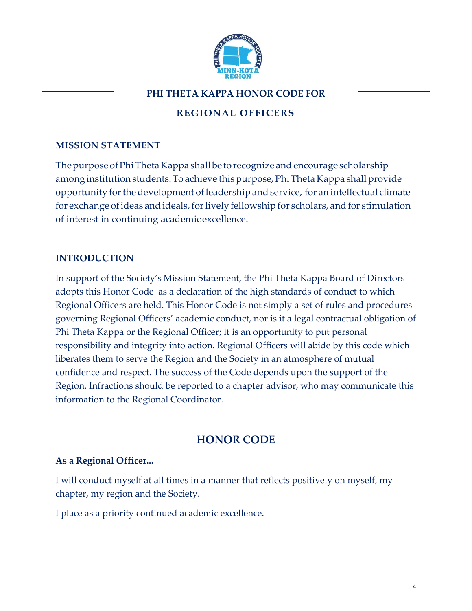

## **PHI THETA KAPPA HONOR CODE FOR**

# **REGIONAL OFFICERS**

## **MISSION STATEMENT**

The purpose of Phi Theta Kappa shall be to recognize and encourage scholarship among institution students. To achieve this purpose, Phi Theta Kappa shall provide opportunity forthe development ofleadership andservice, for an intellectual climate for exchange of ideas and ideals, for lively fellowship for scholars, and for stimulation of interest in continuing academic excellence.

## **INTRODUCTION**

In support of the Society's Mission Statement, the Phi Theta Kappa Board of Directors adopts this Honor Code as a declaration of the high standards of conduct to which Regional Officers are held. This Honor Code is not simply a set of rules and procedures governing Regional Officers' academic conduct, nor is it a legal contractual obligation of Phi Theta Kappa or the Regional Officer; it is an opportunity to put personal responsibility and integrity into action. Regional Officers will abide by this code which liberates them to serve the Region and the Society in an atmosphere of mutual confidence and respect. The success of the Code depends upon the support of the Region. Infractions should be reported to a chapter advisor, who may communicate this information to the Regional Coordinator.

# **HONOR CODE**

## **As a Regional Officer...**

I will conduct myself at all times in a manner that reflects positively on myself, my chapter, my region and the Society.

I place as a priority continued academic excellence.